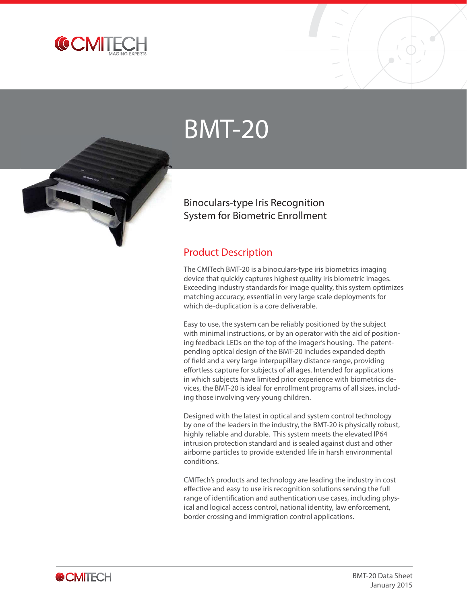

# BMT-20



#### Product Description

The CMITech BMT-20 is a binoculars-type iris biometrics imaging device that quickly captures highest quality iris biometric images. Exceeding industry standards for image quality, this system optimizes matching accuracy, essential in very large scale deployments for which de-duplication is a core deliverable.

Easy to use, the system can be reliably positioned by the subject with minimal instructions, or by an operator with the aid of positioning feedback LEDs on the top of the imager's housing. The patentpending optical design of the BMT-20 includes expanded depth of field and a very large interpupillary distance range, providing effortless capture for subjects of all ages. Intended for applications in which subjects have limited prior experience with biometrics devices, the BMT-20 is ideal for enrollment programs of all sizes, including those involving very young children.

Designed with the latest in optical and system control technology by one of the leaders in the industry, the BMT-20 is physically robust, highly reliable and durable. This system meets the elevated IP64 intrusion protection standard and is sealed against dust and other airborne particles to provide extended life in harsh environmental conditions.

CMITech's products and technology are leading the industry in cost effective and easy to use iris recognition solutions serving the full range of identification and authentication use cases, including physical and logical access control, national identity, law enforcement, border crossing and immigration control applications.

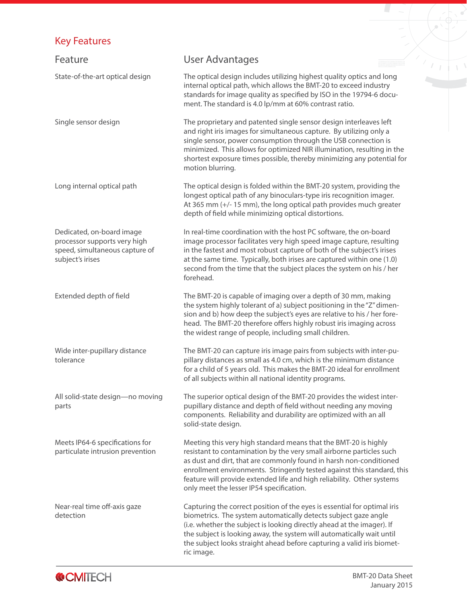## Key Features

| <b>Key Features</b>                                                                                             |                                                                                                                                                                                                                                                                                                                                                                                                                |  |
|-----------------------------------------------------------------------------------------------------------------|----------------------------------------------------------------------------------------------------------------------------------------------------------------------------------------------------------------------------------------------------------------------------------------------------------------------------------------------------------------------------------------------------------------|--|
| Feature                                                                                                         | <b>User Advantages</b>                                                                                                                                                                                                                                                                                                                                                                                         |  |
| State-of-the-art optical design                                                                                 | The optical design includes utilizing highest quality optics and long<br>internal optical path, which allows the BMT-20 to exceed industry<br>standards for image quality as specified by ISO in the 19794-6 docu-<br>ment. The standard is 4.0 lp/mm at 60% contrast ratio.                                                                                                                                   |  |
| Single sensor design                                                                                            | The proprietary and patented single sensor design interleaves left<br>and right iris images for simultaneous capture. By utilizing only a<br>single sensor, power consumption through the USB connection is<br>minimized. This allows for optimized NIR illumination, resulting in the<br>shortest exposure times possible, thereby minimizing any potential for<br>motion blurring.                           |  |
| Long internal optical path                                                                                      | The optical design is folded within the BMT-20 system, providing the<br>longest optical path of any binoculars-type iris recognition imager.<br>At 365 mm (+/-15 mm), the long optical path provides much greater<br>depth of field while minimizing optical distortions.                                                                                                                                      |  |
| Dedicated, on-board image<br>processor supports very high<br>speed, simultaneous capture of<br>subject's irises | In real-time coordination with the host PC software, the on-board<br>image processor facilitates very high speed image capture, resulting<br>in the fastest and most robust capture of both of the subject's irises<br>at the same time. Typically, both irises are captured within one (1.0)<br>second from the time that the subject places the system on his / her<br>forehead.                             |  |
| Extended depth of field                                                                                         | The BMT-20 is capable of imaging over a depth of 30 mm, making<br>the system highly tolerant of a) subject positioning in the "Z" dimen-<br>sion and b) how deep the subject's eyes are relative to his / her fore-<br>head. The BMT-20 therefore offers highly robust iris imaging across<br>the widest range of people, including small children.                                                            |  |
| Wide inter-pupillary distance<br>tolerance                                                                      | The BMT-20 can capture iris image pairs from subjects with inter-pu-<br>pillary distances as small as 4.0 cm, which is the minimum distance<br>for a child of 5 years old. This makes the BMT-20 ideal for enrollment<br>of all subjects within all national identity programs.                                                                                                                                |  |
| All solid-state design-no moving<br>parts                                                                       | The superior optical design of the BMT-20 provides the widest inter-<br>pupillary distance and depth of field without needing any moving<br>components. Reliability and durability are optimized with an all<br>solid-state design.                                                                                                                                                                            |  |
| Meets IP64-6 specifications for<br>particulate intrusion prevention                                             | Meeting this very high standard means that the BMT-20 is highly<br>resistant to contamination by the very small airborne particles such<br>as dust and dirt, that are commonly found in harsh non-conditioned<br>enrollment environments. Stringently tested against this standard, this<br>feature will provide extended life and high reliability. Other systems<br>only meet the lesser IP54 specification. |  |
| Near-real time off-axis gaze<br>detection                                                                       | Capturing the correct position of the eyes is essential for optimal iris<br>biometrics. The system automatically detects subject gaze angle<br>(i.e. whether the subject is looking directly ahead at the imager). If<br>the subject is looking away, the system will automatically wait until<br>the subject looks straight ahead before capturing a valid iris biomet-<br>ric image.                         |  |



 $\Gamma$  ,  $\Gamma$ 

 $\sigma'$ 

マー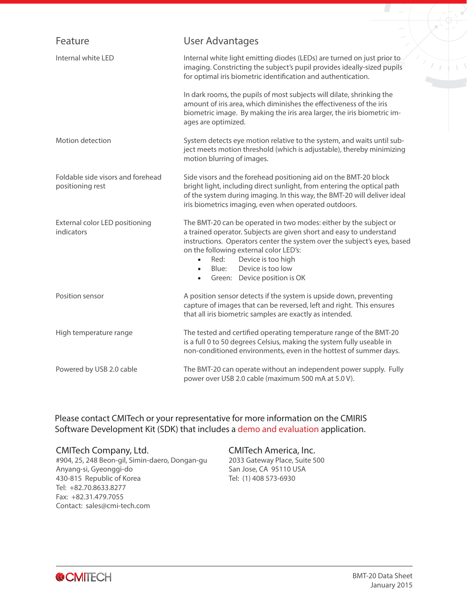| Feature                                               | User Advantages                                                                                                                                                                                                                                                                                                                                                                                   |  |
|-------------------------------------------------------|---------------------------------------------------------------------------------------------------------------------------------------------------------------------------------------------------------------------------------------------------------------------------------------------------------------------------------------------------------------------------------------------------|--|
| Internal white LED                                    | Internal white light emitting diodes (LEDs) are turned on just prior to<br>imaging. Constricting the subject's pupil provides ideally-sized pupils<br>for optimal iris biometric identification and authentication.                                                                                                                                                                               |  |
|                                                       | In dark rooms, the pupils of most subjects will dilate, shrinking the<br>amount of iris area, which diminishes the effectiveness of the iris<br>biometric image. By making the iris area larger, the iris biometric im-<br>ages are optimized.                                                                                                                                                    |  |
| Motion detection                                      | System detects eye motion relative to the system, and waits until sub-<br>ject meets motion threshold (which is adjustable), thereby minimizing<br>motion blurring of images.                                                                                                                                                                                                                     |  |
| Foldable side visors and forehead<br>positioning rest | Side visors and the forehead positioning aid on the BMT-20 block<br>bright light, including direct sunlight, from entering the optical path<br>of the system during imaging. In this way, the BMT-20 will deliver ideal<br>iris biometrics imaging, even when operated outdoors.                                                                                                                  |  |
| External color LED positioning<br>indicators          | The BMT-20 can be operated in two modes: either by the subject or<br>a trained operator. Subjects are given short and easy to understand<br>instructions. Operators center the system over the subject's eyes, based<br>on the following external color LED's:<br>Device is too high<br>Red:<br>$\bullet$<br>Device is too low<br>Blue:<br>$\bullet$<br>Green: Device position is OK<br>$\bullet$ |  |
| Position sensor                                       | A position sensor detects if the system is upside down, preventing<br>capture of images that can be reversed, left and right. This ensures<br>that all iris biometric samples are exactly as intended.                                                                                                                                                                                            |  |
| High temperature range                                | The tested and certified operating temperature range of the BMT-20<br>is a full 0 to 50 degrees Celsius, making the system fully useable in<br>non-conditioned environments, even in the hottest of summer days.                                                                                                                                                                                  |  |
| Powered by USB 2.0 cable                              | The BMT-20 can operate without an independent power supply. Fully<br>power over USB 2.0 cable (maximum 500 mA at 5.0 V).                                                                                                                                                                                                                                                                          |  |

Please contact CMITech or your representative for more information on the CMIRIS Software Development Kit (SDK) that includes a demo and evaluation application.

#### CMITech Company, Ltd.

#904, 25, 248 Beon-gil, Simin-daero, Dongan-gu Anyang-si, Gyeonggi-do 430-815 Republic of Korea Tel: +82.70.8633.8277 Fax: +82.31.479.7055 Contact: sales@cmi-tech.com

#### CMITech America, Inc.

2033 Gateway Place, Suite 500 San Jose, CA 95110 USA Tel: (1) 408 573-6930



≚ ۾ ∖